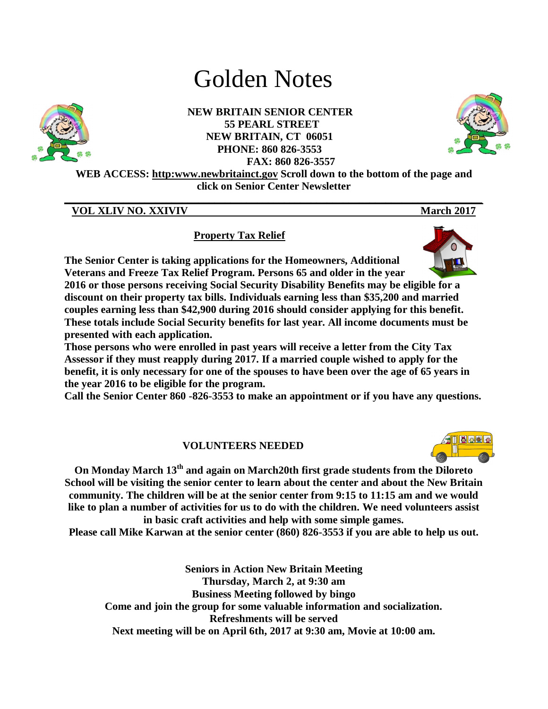# Golden Notes



**NEW BRITAIN SENIOR CENTER 55 PEARL STREET NEW BRITAIN, CT 06051 PHONE: 860 826-3553 FAX: 860 826-3557**



**WEB ACCESS: http:www.newbritainct.gov Scroll down to the bottom of the page and click on Senior Center Newsletter** 

**\_\_\_\_\_\_\_\_\_\_\_\_\_\_\_\_\_\_\_\_\_\_\_\_\_\_\_\_\_\_\_\_\_\_\_\_\_\_\_\_\_\_\_\_\_\_\_\_\_\_\_\_\_\_\_\_\_\_\_\_\_\_\_\_\_\_\_\_\_\_\_\_\_\_\_\_\_\_**

# **VOL XLIV NO. XXIVIV** March 2017

**Property Tax Relief**

**The Senior Center is taking applications for the Homeowners, Additional Veterans and Freeze Tax Relief Program. Persons 65 and older in the year 2016 or those persons receiving Social Security Disability Benefits may be eligible for a discount on their property tax bills. Individuals earning less than \$35,200 and married couples earning less than \$42,900 during 2016 should consider applying for this benefit. These totals include Social Security benefits for last year. All income documents must be presented with each application.** 

**Those persons who were enrolled in past years will receive a letter from the City Tax Assessor if they must reapply during 2017. If a married couple wished to apply for the benefit, it is only necessary for one of the spouses to have been over the age of 65 years in the year 2016 to be eligible for the program.** 

**Call the Senior Center 860 -826-3553 to make an appointment or if you have any questions.** 

# **VOLUNTEERS NEEDED**

**On Monday March 13th and again on March20th first grade students from the Diloreto School will be visiting the senior center to learn about the center and about the New Britain community. The children will be at the senior center from 9:15 to 11:15 am and we would like to plan a number of activities for us to do with the children. We need volunteers assist in basic craft activities and help with some simple games.** 

**Please call Mike Karwan at the senior center (860) 826-3553 if you are able to help us out.** 

**Seniors in Action New Britain Meeting Thursday, March 2, at 9:30 am Business Meeting followed by bingo Come and join the group for some valuable information and socialization. Refreshments will be served Next meeting will be on April 6th, 2017 at 9:30 am, Movie at 10:00 am.**



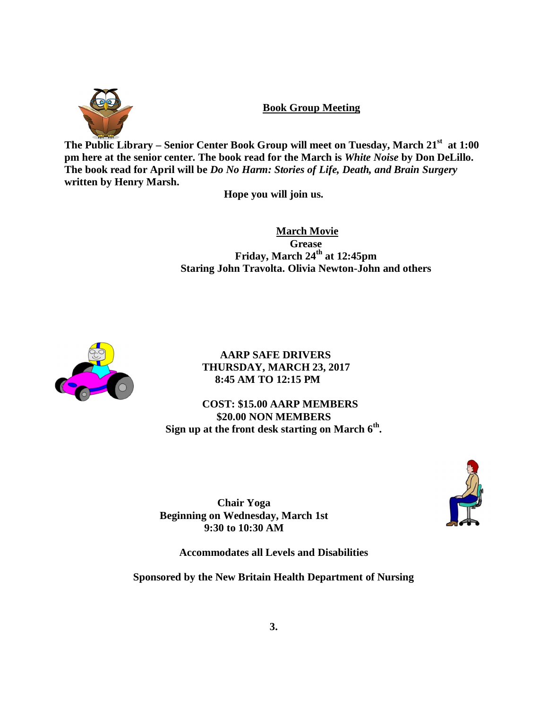

**Book Group Meeting**

**The Public Library – Senior Center Book Group will meet on Tuesday, March 21st at 1:00 pm here at the senior center. The book read for the March is** *White Noise* **by Don DeLillo. The book read for April will be** *Do No Harm: Stories of Life, Death, and Brain Surgery* **written by Henry Marsh.** 

**Hope you will join us.**

 **March Movie Grease Friday, March 24th at 12:45pm Staring John Travolta. Olivia Newton-John and others**



**AARP SAFE DRIVERS THURSDAY, MARCH 23, 2017 8:45 AM TO 12:15 PM**

**COST: \$15.00 AARP MEMBERS \$20.00 NON MEMBERS Sign up at the front desk starting on March 6th .** 

**Chair Yoga Beginning on Wednesday, March 1st 9:30 to 10:30 AM**



**Accommodates all Levels and Disabilities**

**Sponsored by the New Britain Health Department of Nursing**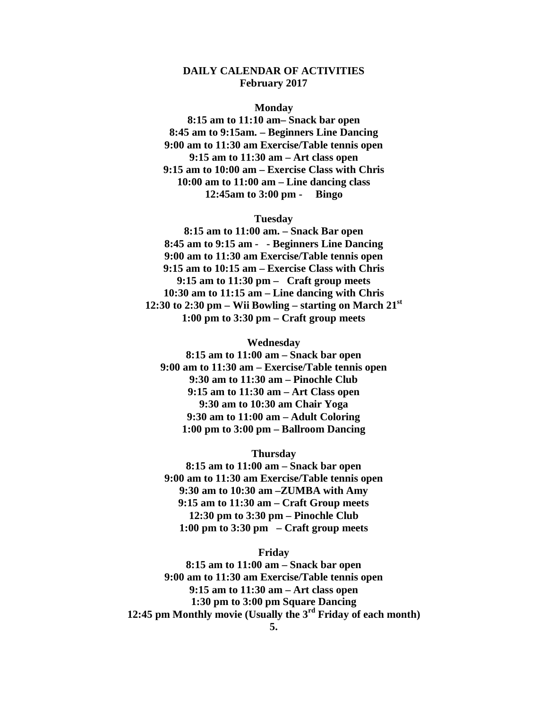#### **DAILY CALENDAR OF ACTIVITIES February 2017**

#### **Monday**

**8:15 am to 11:10 am– Snack bar open 8:45 am to 9:15am. – Beginners Line Dancing 9:00 am to 11:30 am Exercise/Table tennis open 9:15 am to 11:30 am – Art class open 9:15 am to 10:00 am – Exercise Class with Chris 10:00 am to 11:00 am – Line dancing class 12:45am to 3:00 pm - Bingo**

#### **Tuesday**

**8:15 am to 11:00 am. – Snack Bar open 8:45 am to 9:15 am - - Beginners Line Dancing 9:00 am to 11:30 am Exercise/Table tennis open 9:15 am to 10:15 am – Exercise Class with Chris 9:15 am to 11:30 pm – Craft group meets 10:30 am to 11:15 am – Line dancing with Chris 12:30 to 2:30 pm – Wii Bowling – starting on March 21st 1:00 pm to 3:30 pm – Craft group meets**

#### **Wednesday**

**8:15 am to 11:00 am – Snack bar open 9:00 am to 11:30 am – Exercise/Table tennis open 9:30 am to 11:30 am – Pinochle Club 9:15 am to 11:30 am – Art Class open 9:30 am to 10:30 am Chair Yoga 9:30 am to 11:00 am – Adult Coloring 1:00 pm to 3:00 pm – Ballroom Dancing**

## **Thursday**

**8:15 am to 11:00 am – Snack bar open 9:00 am to 11:30 am Exercise/Table tennis open 9:30 am to 10:30 am –ZUMBA with Amy 9:15 am to 11:30 am – Craft Group meets 12:30 pm to 3:30 pm – Pinochle Club 1:00 pm to 3:30 pm – Craft group meets**

#### **Friday**

**8:15 am to 11:00 am – Snack bar open 9:00 am to 11:30 am Exercise/Table tennis open 9:15 am to 11:30 am – Art class open 1:30 pm to 3:00 pm Square Dancing 12:45 pm Monthly movie (Usually the 3rd Friday of each month)**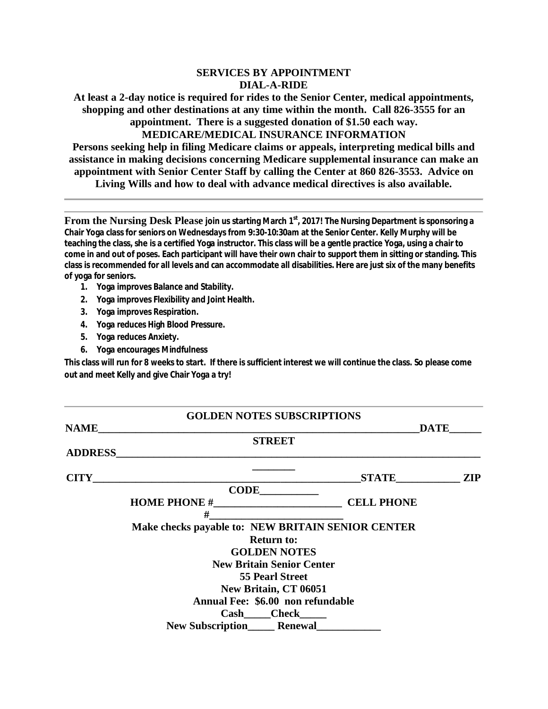## **SERVICES BY APPOINTMENT DIAL-A-RIDE**

**At least a 2-day notice is required for rides to the Senior Center, medical appointments, shopping and other destinations at any time within the month. Call 826-3555 for an appointment. There is a suggested donation of \$1.50 each way.**

**MEDICARE/MEDICAL INSURANCE INFORMATION**

**Persons seeking help in filing Medicare claims or appeals, interpreting medical bills and assistance in making decisions concerning Medicare supplemental insurance can make an appointment with Senior Center Staff by calling the Center at 860 826-3553. Advice on** 

**Living Wills and how to deal with advance medical directives is also available.**

**From the Nursing Desk Please join us starting March 1st, 2017! The Nursing Department is sponsoring a Chair Yoga class for seniors on Wednesdays from 9:30-10:30am at the Senior Center. Kelly Murphy will be teaching the class, she is a certified Yoga instructor. This class will be a gentle practice Yoga, using a chair to come in and out of poses. Each participant will have their own chair to support them in sitting or standing. This class is recommended for all levels and can accommodate all disabilities. Here are just six of the many benefits of yoga for seniors.**

- **1. Yoga improves Balance and Stability.**
- **2. Yoga improves Flexibility and Joint Health.**
- **3. Yoga improves Respiration.**
- **4. Yoga reduces High Blood Pressure.**
- **5. Yoga reduces Anxiety.**
- **6. Yoga encourages Mindfulness**

**This class will run for 8 weeks to start. If there is sufficient interest we will continue the class. So please come out and meet Kelly and give Chair Yoga a try!**

|                | <b>GOLDEN NOTES SUBSCRIPTIONS</b>                                                                                     |              |            |
|----------------|-----------------------------------------------------------------------------------------------------------------------|--------------|------------|
| <b>NAME</b>    | <u> 2000 - Jan James James James James James James James James James James James James James James James James J</u>  | <b>DATE</b>  |            |
|                | <b>STREET</b>                                                                                                         |              |            |
| <b>ADDRESS</b> | <u> 1989 - Johann John Stone, meil in der Stone aus der Stone aus der Stone aus der Stone aus der Stone aus der S</u> |              |            |
|                |                                                                                                                       |              |            |
| <b>CITY</b>    |                                                                                                                       | <b>STATE</b> | <b>ZIP</b> |
|                |                                                                                                                       |              |            |
|                |                                                                                                                       |              |            |
|                | #                                                                                                                     |              |            |
|                | Make checks payable to: NEW BRITAIN SENIOR CENTER                                                                     |              |            |
|                | <b>Return to:</b>                                                                                                     |              |            |
|                | <b>GOLDEN NOTES</b>                                                                                                   |              |            |
|                | <b>New Britain Senior Center</b>                                                                                      |              |            |
|                | <b>55 Pearl Street</b>                                                                                                |              |            |
|                | New Britain, CT 06051                                                                                                 |              |            |
|                | Annual Fee: \$6.00 non refundable                                                                                     |              |            |
|                | Cash Check                                                                                                            |              |            |
|                | <b>New Subscription Renewal</b>                                                                                       |              |            |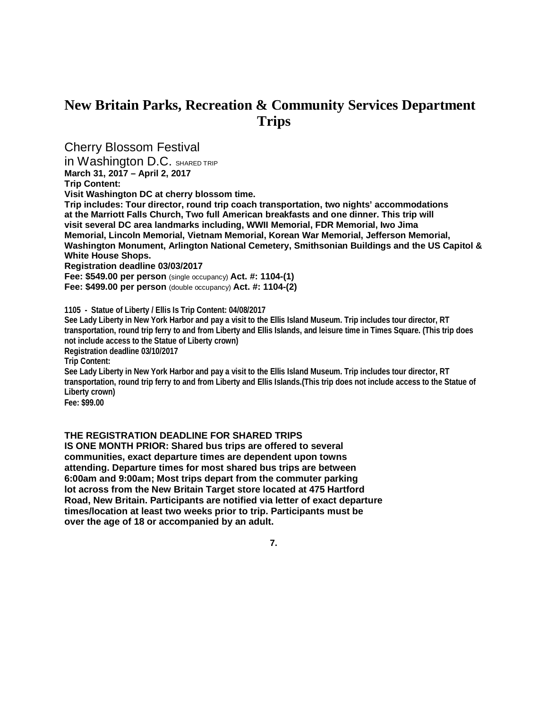# **New Britain Parks, Recreation & Community Services Department Trips**

Cherry Blossom Festival

in Washington D.C. SHARED TRIP

**March 31, 2017 – April 2, 2017**

**Trip Content:**

**Visit Washington DC at cherry blossom time.**

**Trip includes: Tour director, round trip coach transportation, two nights' accommodations at the Marriott Falls Church, Two full American breakfasts and one dinner. This trip will visit several DC area landmarks including, WWII Memorial, FDR Memorial, Iwo Jima Memorial, Lincoln Memorial, Vietnam Memorial, Korean War Memorial, Jefferson Memorial, Washington Monument, Arlington National Cemetery, Smithsonian Buildings and the US Capitol & White House Shops.**

**Registration deadline 03/03/2017**

**Fee: \$549.00 per person** (single occupancy) **Act. #: 1104-(1)**

**Fee: \$499.00 per person** (double occupancy) **Act. #: 1104-(2)**

**1105 - Statue of Liberty / Ellis Is Trip Content: 04/08/2017** 

**See Lady Liberty in New York Harbor and pay a visit to the Ellis Island Museum. Trip includes tour director, RT transportation, round trip ferry to and from Liberty and Ellis Islands, and leisure time in Times Square. (This trip does not include access to the Statue of Liberty crown) Registration deadline 03/10/2017**

**Trip Content:**

**See Lady Liberty in New York Harbor and pay a visit to the Ellis Island Museum. Trip includes tour director, RT transportation, round trip ferry to and from Liberty and Ellis Islands.(This trip does not include access to the Statue of Liberty crown)**

**Fee: \$99.00**

#### **THE REGISTRATION DEADLINE FOR SHARED TRIPS**

**IS ONE MONTH PRIOR: Shared bus trips are offered to several communities, exact departure times are dependent upon towns attending. Departure times for most shared bus trips are between 6:00am and 9:00am; Most trips depart from the commuter parking lot across from the New Britain Target store located at 475 Hartford Road, New Britain. Participants are notified via letter of exact departure times/location at least two weeks prior to trip. Participants must be over the age of 18 or accompanied by an adult.**

**7.**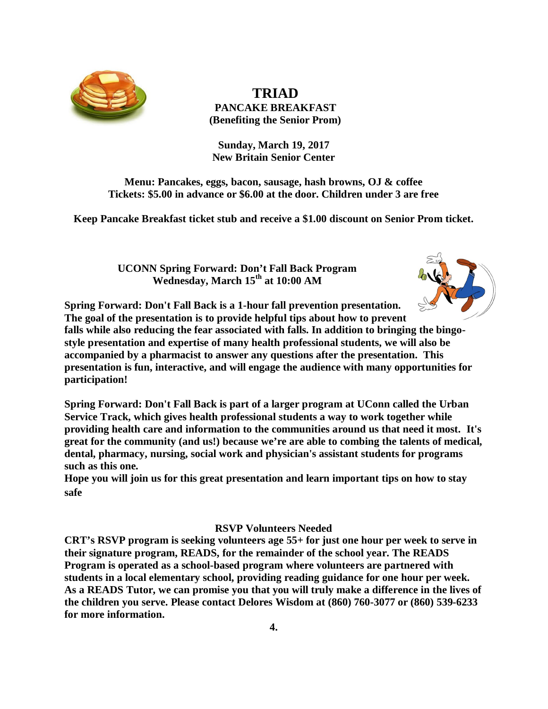

 **TRIAD PANCAKE BREAKFAST (Benefiting the Senior Prom)**

**Sunday, March 19, 2017 New Britain Senior Center**

**Menu: Pancakes, eggs, bacon, sausage, hash browns, OJ & coffee Tickets: \$5.00 in advance or \$6.00 at the door. Children under 3 are free**

**Keep Pancake Breakfast ticket stub and receive a \$1.00 discount on Senior Prom ticket.**

**UCONN Spring Forward: Don't Fall Back Program Wednesday, March 15th at 10:00 AM**



**Spring Forward: Don't Fall Back is a 1-hour fall prevention presentation. The goal of the presentation is to provide helpful tips about how to prevent falls while also reducing the fear associated with falls. In addition to bringing the bingo-**

**style presentation and expertise of many health professional students, we will also be accompanied by a pharmacist to answer any questions after the presentation. This presentation is fun, interactive, and will engage the audience with many opportunities for participation!**

**Spring Forward: Don't Fall Back is part of a larger program at UConn called the Urban Service Track, which gives health professional students a way to work together while providing health care and information to the communities around us that need it most. It's great for the community (and us!) because we're are able to combing the talents of medical, dental, pharmacy, nursing, social work and physician's assistant students for programs such as this one.**

**Hope you will join us for this great presentation and learn important tips on how to stay safe**

## **RSVP Volunteers Needed**

**CRT's RSVP program is seeking volunteers age 55+ for just one hour per week to serve in their signature program, READS, for the remainder of the school year. The READS Program is operated as a school-based program where volunteers are partnered with students in a local elementary school, providing reading guidance for one hour per week. As a READS Tutor, we can promise you that you will truly make a difference in the lives of the children you serve. Please contact Delores Wisdom at (860) 760-3077 or (860) 539-6233 for more information.**